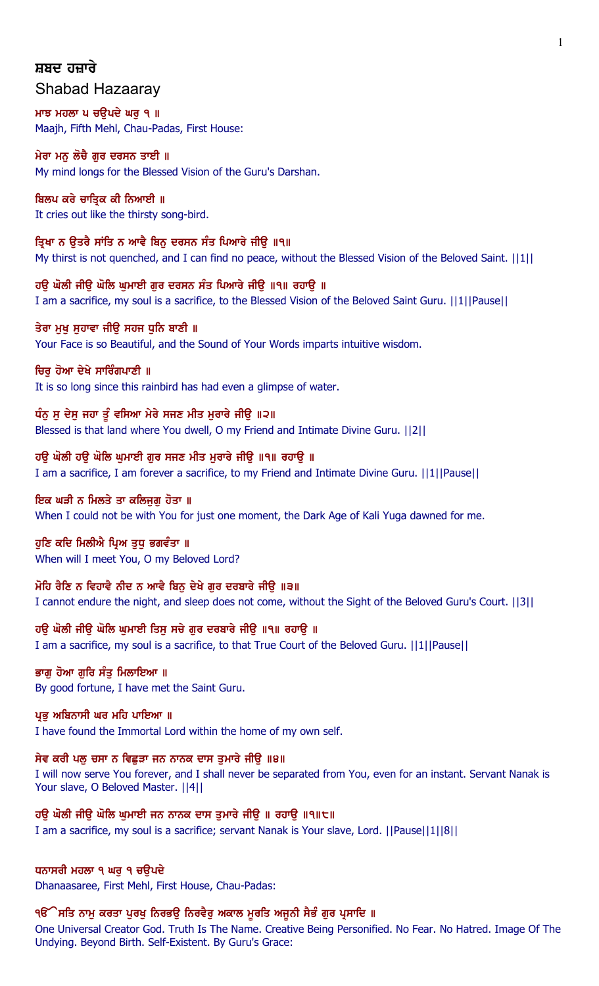# ਸ਼ਬਦ ਹਜ਼ਾਰੇ Shabad Hazaaray

ਮਾਝ ਮਹਲਾ ਪ ਚਉਪਦੇ ਘਰੁ ੧ ॥ Maajh, Fifth Mehl, Chau-Padas, First House:

# ਮੇਰਾ ਮਨੂ ਲੋਚੈ ਗੁਰ ਦਰਸਨ ਤਾਈ ॥ My mind longs for the Blessed Vision of the Guru's Darshan.

# ਬਿਲਪ ਕਰੇ ਚਾਤਿਕ ਕੀ ਨਿਆਈ ॥

It cries out like the thirsty song-bird.

ਤ੍ਰਿਖਾ ਨ ਉਤਰੈ ਸਾਂਤਿ ਨ ਆਵੈ ਬਿਨੂ ਦਰਸਨ ਸੰਤ ਪਿਆਰੇ ਜੀਉ ॥੧॥ My thirst is not quenched, and I can find no peace, without the Blessed Vision of the Beloved Saint. [11] 1

ਹਉ ਘੋਲੀ ਜੀਉ ਘੋਲਿ ਘੁਮਾਈ ਗੁਰ ਦਰਸਨ ਸੰਤ ਪਿਆਰੇ ਜੀਉ ॥੧॥ ਰਹਾਉ ॥ I am a sacrifice, my soul is a sacrifice, to the Blessed Vision of the Beloved Saint Guru. ||1||Pause||

ਤੇਰਾ ਮਖ ਸਹਾਵਾ ਜੀੳ ਸਹਜ ਧਨਿ ਬਾਣੀ ॥ Your Face is so Beautiful, and the Sound of Your Words imparts intuitive wisdom.

ਚਿਰ ਹੋਆ ਦੇਖੇ ਸਾਰਿੰਗਪਾਣੀ ॥ It is so long since this rainbird has had even a glimpse of water.

ਧੰਨੂ ਸੂ ਦੇਸੂ ਜਹਾ ਤੂੰ ਵਸਿਆ ਮੇਰੇ ਸਜਣ ਮੀਤ ਮੁਰਾਰੇ ਜੀਉ ॥੨॥ Blessed is that land where You dwell, O my Friend and Intimate Divine Guru. ||2||

ਹੳ ਘੋਲੀ ਹੳ ਘੋਲਿ ਘਮਾਈ ਗਰ ਸਜਣ ਮੀਤ ਮਰਾਰੇ ਜੀੳ ॥੧॥ ਰਹਾੳ ॥ I am a sacrifice, I am forever a sacrifice, to my Friend and Intimate Divine Guru. ||1||Pause||

# ਇਕ ਘੜੀ ਨ ਮਿਲਤੇ ਤਾ ਕਲਿਜੁਗ਼ ਹੋਤਾ ॥

When I could not be with You for just one moment, the Dark Age of Kali Yuga dawned for me.

# ਹੁਣਿ ਕਦਿ ਮਿਲੀਐ ਪ੍ਰਿਅ ਤੁਧੁ ਭਗਵੰਤਾ ॥

When will I meet You, O my Beloved Lord?

ਮੋਹਿ ਰੈਣਿ ਨ ਵਿਹਾਵੈ ਨੀਦ ਨ ਆਵੈ ਬਿਨੂ ਦੇਖੇ ਗੁਰ ਦਰਬਾਰੇ ਜੀਉ ॥੩॥

I cannot endure the night, and sleep does not come, without the Sight of the Beloved Guru's Court. ||3||

ਹਉ ਘੋਲੀ ਜੀਉ ਘੋਲਿ ਘੁਮਾਈ ਤਿਸੂ ਸਚੇ ਗੁਰ ਦਰਬਾਰੇ ਜੀਉ ॥੧॥ ਰਹਾਉ ॥ I am a sacrifice, my soul is a sacrifice, to that True Court of the Beloved Guru. ||1||Pause||

ਭਾਗੂ ਹੋਆ ਗੁਰਿ ਸੰਤੁ ਮਿਲਾਇਆ ॥ By good fortune, I have met the Saint Guru.

ਪ੍ਰਭੂ ਅਬਿਨਾਸੀ ਘਰ ਮਹਿ ਪਾਇਆ ॥ I have found the Immortal Lord within the home of my own self.

# ਸੇਵ ਕਰੀ ਪਲੁ ਚਸਾ ਨ ਵਿਛੁੜਾ ਜਨ ਨਾਨਕ ਦਾਸ ਤੁਮਾਰੇ ਜੀਉ ॥੪॥

I will now serve You forever, and I shall never be separated from You, even for an instant. Servant Nanak is Your slave, O Beloved Master. ||4||

ਹੳ ਘੋਲੀ ਜੀੳ ਘੋਲਿ ਘਮਾਈ ਜਨ ਨਾਨਕ ਦਾਸ ਤਮਾਰੇ ਜੀੳ ॥ ਰਹਾੳ ॥੧॥੮॥ I am a sacrifice, my soul is a sacrifice; servant Nanak is Your slave, Lord. ||Pause||1||8||

# ਧਨਾਸਰੀ ਮਹਲਾ ੧ ਘਰ ੧ ਚੳਪਦੇ

Dhanaasaree, First Mehl, First House, Chau-Padas:

# ੧ੳੱੇਸਤਿ ਨਾਮੁ ਕਰਤਾ ਪੁਰਖੁ ਨਿਰਭਉ ਨਿਰਵੈਰੁ ਅਕਾਲ ਮੁਰਤਿ ਅਜੂਨੀ ਸੈਭੰ ਗੁਰ ਪ੍ਰਸਾਦਿ ॥

One Universal Creator God. Truth Is The Name. Creative Being Personified. No Fear. No Hatred. Image Of The Undying. Beyond Birth. Self-Existent. By Guru's Grace: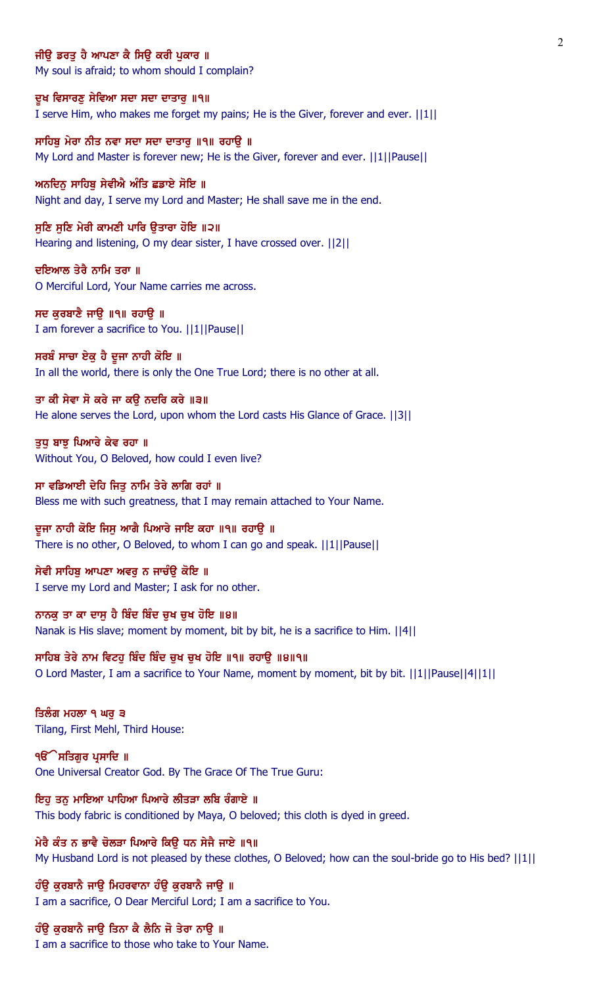### ਜੀੳ ਡਰਤ ਹੈ ਆਪਣਾ ਕੈ ਸਿੳ ਕਰੀ ਪਕਾਰ ॥

My soul is afraid; to whom should I complain?

ਦੁਖ ਵਿਸਾਰਣੁ ਸੇਵਿਆ ਸਦਾ ਸਦਾ ਦਾਤਾਰੁ ॥੧॥ I serve Him, who makes me forget my pains; He is the Giver, forever and ever. ||1||

ਸਾਹਿਬ ਮੇਰਾ ਨੀਤ ਨਵਾ ਸਦਾ ਸਦਾ ਦਾਤਾਰ ॥੧॥ ਰਹਾੳ ॥ My Lord and Master is forever new; He is the Giver, forever and ever. ||1||Pause||

ਅਨਦਿਨ ਸਾਹਿਬ ਸੇਵੀਐ ਅੰਤਿ ਛਡਾਏ ਸੋਇ ॥ Night and day, I serve my Lord and Master; He shall save me in the end.

ਸੁਣਿ ਸੁਣਿ ਮੇਰੀ ਕਾਮਣੀ ਪਾਰਿ ਉਤਾਰਾ ਹੋਇ ॥੨॥ Hearing and listening, O my dear sister, I have crossed over. ||2||

ਦਇਆਲ ਤੇਰੈ ਨਾਮਿ ਤਰਾ ॥ O Merciful Lord, Your Name carries me across.

ਸਦ ਕੁਰਬਾਣੈ ਜਾਉ ॥੧॥ ਰਹਾਉ ॥ I am forever a sacrifice to You. ||1||Pause||

ਸਰਬੰ ਸਾਚਾ ਏਕੁ ਹੈ ਦੂਜਾ ਨਾਹੀ ਕੋਇ ॥ In all the world, there is only the One True Lord; there is no other at all.

ਤਾ ਕੀ ਸੇਵਾ ਸੋ ਕਰੇ ਜਾ ਕਉ ਨਦਰਿ ਕਰੇ ॥੩॥ He alone serves the Lord, upon whom the Lord casts His Glance of Grace. ||3||

ਤਧ ਬਾਝ ਪਿਆਰੇ ਕੇਵ ਰਹਾ ॥ Without You, O Beloved, how could I even live?

ਸਾ ਵਡਿਆਈ ਦੇਹਿ ਜਿਤੂ ਨਾਮਿ ਤੇਰੇ ਲਾਗਿ ਰਹਾਂ ॥ Bless me with such greatness, that I may remain attached to Your Name.

ਦੂਜਾ ਨਾਹੀ ਕੋਇ ਜਿਸੂ ਆਗੈ ਪਿਆਰੇ ਜਾਇ ਕਹਾ ॥੧॥ ਰਹਾਉ ॥ There is no other, O Beloved, to whom I can go and speak. ||1||Pause||

ਸੇਵੀ ਸਾਹਿਬ ਆਪਣਾ ਅਵਰ ਨ ਜਾਚੰੳ ਕੋਇ ॥ I serve my Lord and Master; I ask for no other.

ਨਾਨਕੂ ਤਾ ਕਾ ਦਾਸੂ ਹੈ ਬਿੰਦ ਬਿੰਦ ਚੁਖ ਚੁਖ ਹੋਇ ॥੪॥ Nanak is His slave; moment by moment, bit by bit, he is a sacrifice to Him. ||4||

ਸਾਹਿਬ ਤੇਰੇ ਨਾਮ ਵਿਟਹ ਬਿੰਦ ਬਿੰਦ ਚਖ ਚਖ ਹੋਇ ॥੧॥ ਰਹਾੳ ॥੪॥੧॥ O Lord Master, I am a sacrifice to Your Name, moment by moment, bit by bit. ||1||Pause||4||1||

ਤਿਲੰਗ ਮਹਲਾ ੧ ਘਰੂ ੩ Tilang, First Mehl, Third House:

੧**ੳੇਸਤਿਗਰ ਪ੍ਰਸਾਦਿ** ॥ One Universal Creator God. By The Grace Of The True Guru:

ਇਹੂ ਤਨੂ ਮਾਇਆ ਪਾਹਿਆ ਪਿਆਰੇ ਲੀਤੜਾ ਲਬਿ ਰੰਗਾਏ ॥ This body fabric is conditioned by Maya, O beloved; this cloth is dyed in greed.

ਮੇਰੈ ਕੰਤ ਨ ਭਾਵੈ ਚੋਲੜਾ ਪਿਆਰੇ ਕਿੳ ਧਨ ਸੇਜੈ ਜਾਏ ॥੧॥ My Husband Lord is not pleased by these clothes, O Beloved; how can the soul-bride go to His bed? ||1||

ਹੰਉ ਕੁਰਬਾਨੈ ਜਾਉ ਮਿਹਰਵਾਨਾ ਹੰਉ ਕੁਰਬਾਨੈ ਜਾਉ ॥ I am a sacrifice, O Dear Merciful Lord; I am a sacrifice to You.

ਹੰਉ ਕੁਰਬਾਨੈ ਜਾਉ ਤਿਨਾ ਕੈ ਲੈਨਿ ਜੋ ਤੇਰਾ ਨਾਉ ॥

I am a sacrifice to those who take to Your Name.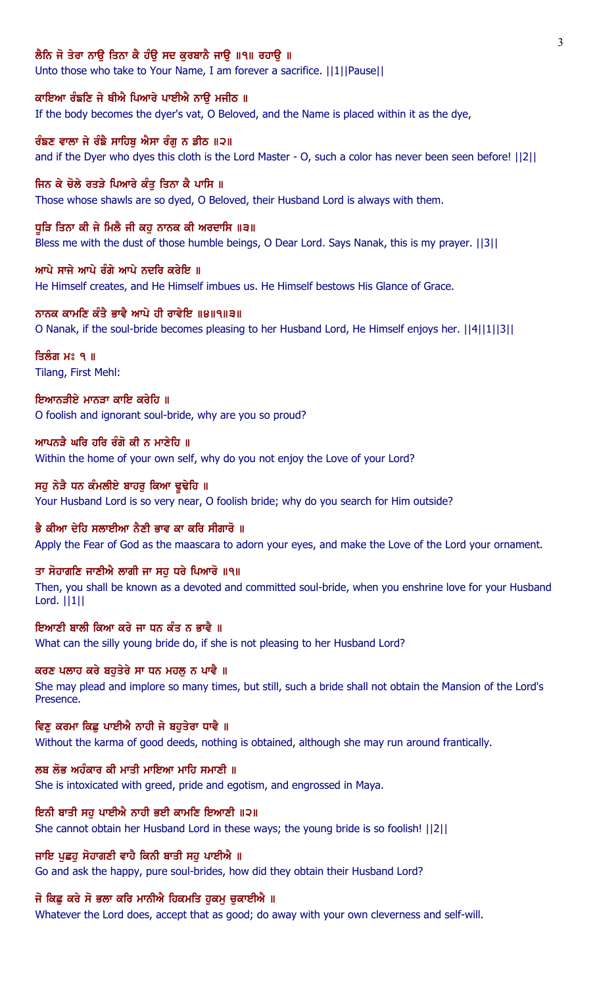# ਲੈਨਿ ਜੋ ਤੇਰਾ ਨਾੳ ਤਿਨਾ ਕੈ ਹੰੳ ਸਦ ਕਰਬਾਨੈ ਜਾੳ ॥੧॥ ਰਹਾੳ ॥

Unto those who take to Your Name, I am forever a sacrifice. ||1||Pause||

### ਕਾਇਆ ਰੰਙਣਿ ਜੇ ਥੀਐ ਪਿਆਰੇ ਪਾਈਐ ਨਾਉ ਮਜੀਠ ॥

If the body becomes the dyer's vat, O Beloved, and the Name is placed within it as the dye,

# ਰੰਙਣ ਵਾਲਾ ਜੇ ਰੰਙੈ ਸਾਹਿਬ ਐਸਾ ਰੰਗ ਨ ਡੀਠ ॥੨॥

and if the Dyer who dyes this cloth is the Lord Master - O, such a color has never been seen before! ||2||

### ਜਿਨ ਕੇ ਚੋਲੇ ਰਤੜੇ ਪਿਆਰੇ ਕੰਤ ਤਿਨਾ ਕੈ ਪਾਸਿ ॥

Those whose shawls are so dyed, O Beloved, their Husband Lord is always with them.

## ਧੁੜਿ ਤਿਨਾ ਕੀ ਜੇ ਮਿਲੈ ਜੀ ਕਹੁ ਨਾਨਕ ਕੀ ਅਰਦਾਸਿ ॥੩॥

Bless me with the dust of those humble beings, O Dear Lord. Says Nanak, this is my prayer. ||3||

### ਆਪੇ ਸਾਜੇ ਆਪੇ ਰੰਗੇ ਆਪੇ ਨਦਰਿ ਕਰੇਇ ॥

He Himself creates, and He Himself imbues us. He Himself bestows His Glance of Grace.

## ਨਾਨਕ ਕਾਮਣਿ ਕੰਤੈ ਭਾਵੈ ਆਪੇ ਹੀ ਰਾਵੇਇ ॥੪॥੧॥੩॥

O Nanak, if the soul-bride becomes pleasing to her Husband Lord, He Himself enjoys her. ||4||1||3||

# ਤਿਲੰਗ ਮਃ ੧ ॥ Tilang, First Mehl:

# ਇਆਨਤੀਏ ਮਾਨਤਾ ਕਾਇ ਕਰੇਹਿ ॥ O foolish and ignorant soul-bride, why are you so proud?

# ਆਪਨੜੈ ਘਰਿ ਹਰਿ ਰੰਗੋ ਕੀ ਨ ਮਾਣੇਹਿ ॥ Within the home of your own self, why do you not enjoy the Love of your Lord?

# ਸਹੂ ਨੇੜੇ ਧਨ ਕੰਮਲੀਏ ਬਾਹਰੂ ਕਿਆ ਢੁਢੇਹਿ ॥ Your Husband Lord is so very near, O foolish bride; why do you search for Him outside?

# ਭੈ ਕੀਆ ਦੇਹਿ ਸਲਾਈਆ ਨੈਣੀ ਭਾਵ ਕਾ ਕਰਿ ਸੀਗਾਰੋ ॥

Apply the Fear of God as the maascara to adorn your eyes, and make the Love of the Lord your ornament.

# ਤਾ ਸੋਹਾਗਣਿ ਜਾਣੀਐ ਲਾਗੀ ਜਾ ਸਹ ਧਰੇ ਪਿਆਰੋ ॥੧॥

Then, you shall be known as a devoted and committed soul-bride, when you enshrine love for your Husband Lord. ||1||

## ਇਆਣੀ ਬਾਲੀ ਕਿਆ ਕਰੇ ਜਾ ਧਨ ਕੰਤ ਨ ਭਾਵੈ ॥

What can the silly young bride do, if she is not pleasing to her Husband Lord?

## ਕਰਣ ਪਲਾਹ ਕਰੇ ਬਹਤੇਰੇ ਸਾ ਧਨ ਮਹਲ ਨ ਪਾਵੈ ॥

She may plead and implore so many times, but still, such a bride shall not obtain the Mansion of the Lord's Presence.

## ਵਿਣ ਕਰਮਾ ਕਿਛ ਪਾਈਐ ਨਾਹੀ ਜੇ ਬਹਤੇਰਾ ਧਾਵੈ ॥

Without the karma of good deeds, nothing is obtained, although she may run around frantically.

## ਲਬ ਲੋਭ ਅਹੰਕਾਰ ਕੀ ਮਾਤੀ ਮਾਇਆ ਮਾਹਿ ਸਮਾਣੀ ॥

She is intoxicated with greed, pride and egotism, and engrossed in Maya.

## ਇਨੀ ਬਾਤੀ ਸਹੁ ਪਾਈਐ ਨਾਹੀ ਭਈ ਕਾਮਣਿ ਇਆਣੀ ॥੨॥

She cannot obtain her Husband Lord in these ways; the young bride is so foolish! ||2||

# ਜਾਇ ਪਛਹ ਸੋਹਾਗਣੀ ਵਾਹੈ ਕਿਨੀ ਬਾਤੀ ਸਹ ਪਾਈਐ ॥

Go and ask the happy, pure soul-brides, how did they obtain their Husband Lord?

# ਜੋ ਕਿਛੂ ਕਰੇ ਸੋ ਭਲਾ ਕਰਿ ਮਾਨੀਐ ਹਿਕਮਤਿ ਹੁਕਮੂ ਚੁਕਾਈਐ ॥

Whatever the Lord does, accept that as good; do away with your own cleverness and self-will.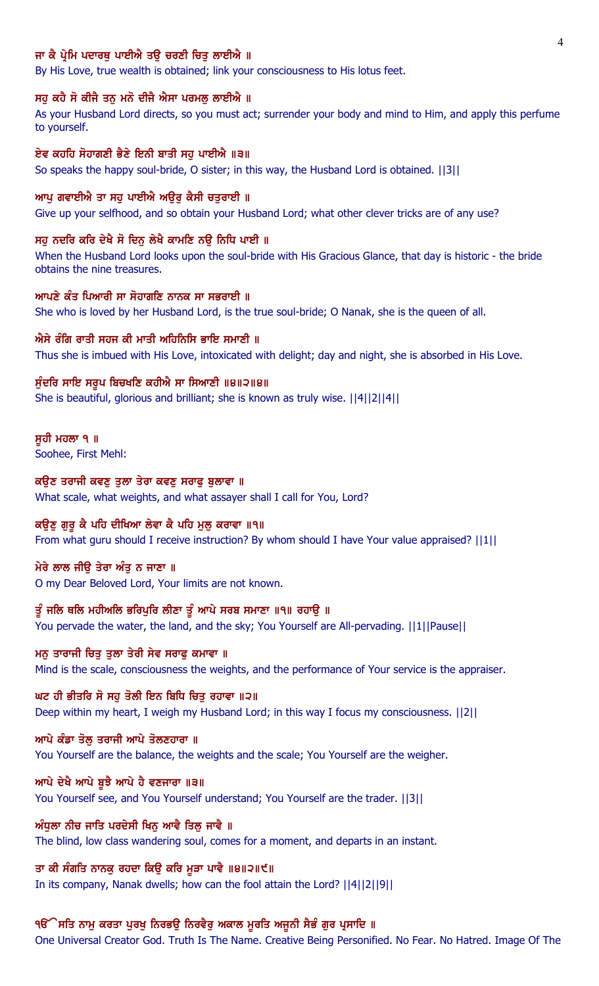# ਜਾ ਕੈ ਪ੍ਰੇਮਿ ਪਦਾਰਥ ਪਾਈਐ ਤੳ ਚਰਣੀ ਚਿਤ ਲਾਈਐ ॥

By His Love, true wealth is obtained; link your consciousness to His lotus feet.

### ਸਹੁ ਕਹੈ ਸੋ ਕੀਜੈ ਤਨੁ ਮਨੋ ਦੀਜੈ ਐਸਾ ਪਰਮਲੁ ਲਾਈਐ ॥

As your Husband Lord directs, so you must act; surrender your body and mind to Him, and apply this perfume to yourself.

### ਏਵ ਕਹਹਿ ਸੋਹਾਗਣੀ ਭੈਣੇ ਇਨੀ ਬਾਤੀ ਸਹ ਪਾਈਐ ॥੩॥

So speaks the happy soul-bride, O sister; in this way, the Husband Lord is obtained. ||3||

#### ਆਪੂ ਗਵਾਈਐ ਤਾ ਸਹੂ ਪਾਈਐ ਅਉਰ ਕੈਸੀ ਚਤੁਰਾਈ ॥

Give up your selfhood, and so obtain your Husband Lord; what other clever tricks are of any use?

#### ਸਹ ਨਦਰਿ ਕਰਿ ਦੇਖੈ ਸੋ ਦਿਨ ਲੇਖੈ ਕਾਮਣਿ ਨੳ ਨਿਧਿ ਪਾਈ ॥

When the Husband Lord looks upon the soul-bride with His Gracious Glance, that day is historic - the bride obtains the nine treasures.

### ਆਪਣੇ ਕੰਤ ਪਿਆਰੀ ਸਾ ਸੋਹਾਗਣਿ ਨਾਨਕ ਸਾ ਸਭਰਾਈ ॥

She who is loved by her Husband Lord, is the true soul-bride; O Nanak, she is the queen of all.

### ਐਸੇ ਰੰਗਿ ਰਾਤੀ ਸਹਜ ਕੀ ਮਾਤੀ ਅਹਿਨਿਸਿ ਭਾਇ ਸਮਾਣੀ ॥

Thus she is imbued with His Love, intoxicated with delight; day and night, she is absorbed in His Love.

### ਸੁੰਦਰਿ ਸਾਇ ਸਰੂਪ ਬਿਚਖਣਿ ਕਹੀਐ ਸਾ ਸਿਆਣੀ ॥੪॥੨॥੪॥

She is beautiful, glorious and brilliant; she is known as truly wise. ||4||2||4||

#### ਸੁਹੀ ਮਹਲਾ ੧ ॥

Soohee, First Mehl:

## ਕਉਣ ਤਰਾਜੀ ਕਵਣੂ ਤੁਲਾ ਤੇਰਾ ਕਵਣੂ ਸਰਾਫੂ ਬੁਲਾਵਾ ॥

What scale, what weights, and what assayer shall I call for You, Lord?

### ਕਉਣੂ ਗੁਰੂ ਕੈ ਪਹਿ ਦੀਖਿਆ ਲੇਵਾ ਕੈ ਪਹਿ ਮੂਲੂ ਕਰਾਵਾ ॥੧॥

From what guru should I receive instruction? By whom should I have Your value appraised? ||1||

#### ਮੇਰੇ ਲਾਲ ਜੀੳ ਤੇਰਾ ਅੰਤ ਨ ਜਾਣਾ ॥

O my Dear Beloved Lord, Your limits are not known.

# ਤੂੰ ਜਲਿ ਥਲਿ ਮਹੀਅਲਿ ਭਰਿਪੁਰਿ ਲੀਣਾ ਤੂੰ ਆਪੇ ਸਰਬ ਸਮਾਣਾ ॥੧॥ ਰਹਾਉ ॥

You pervade the water, the land, and the sky; You Yourself are All-pervading. ||1||Pause||

# ਮਨ ਤਾਰਾਜੀ ਚਿਤੁ ਤੁਲਾ ਤੇਰੀ ਸੇਵ ਸਰਾਫੁ ਕਮਾਵਾ ॥

Mind is the scale, consciousness the weights, and the performance of Your service is the appraiser.

### ਘਟ ਹੀ ਭੀਤਰਿ ਸੋ ਸਹ ਤੋਲੀ ਇਨ ਬਿਧਿ ਚਿਤ ਰਹਾਵਾ ॥੨॥

Deep within my heart, I weigh my Husband Lord; in this way I focus my consciousness. ||2||

#### ਆਪੇ ਕੰਡਾ ਤੋਲ਼ ਤਰਾਜੀ ਆਪੇ ਤੋਲਣਹਾਰਾ ॥

You Yourself are the balance, the weights and the scale; You Yourself are the weigher.

#### ਆਪੇ ਦੇਖੈ ਆਪੇ ਬੁਝੈ ਆਪੇ ਹੈ ਵਣਜਾਰਾ ॥੩॥

You Yourself see, and You Yourself understand; You Yourself are the trader. ||3||

### ਅੰਧੁਲਾ ਨੀਚ ਜਾਤਿ ਪਰਦੇਸੀ ਖਿਨੂ ਆਵੈ ਤਿਲੂ ਜਾਵੈ ॥

The blind, low class wandering soul, comes for a moment, and departs in an instant.

#### ਤਾ ਕੀ ਸੰਗਤਿ ਨਾਨਕੁ ਰਹਦਾ ਕਿਉ ਕਰਿ ਮੁੜਾ ਪਾਵੈ ॥੪॥੨॥੯॥

In its company, Nanak dwells; how can the fool attain the Lord? ||4||2||9||

#### ੧ੳੱੇਸਤਿ ਨਾਮੂ ਕਰਤਾ ਪੂਰਖੂ ਨਿਰਭਉ ਨਿਰਵੈਰੂ ਅਕਾਲ ਮੁਰਤਿ ਅਜੂਨੀ ਸੈਭੰ ਗੁਰ ਪ੍ਰਸਾਦਿ ॥

One Universal Creator God. Truth Is The Name. Creative Being Personified. No Fear. No Hatred. Image Of The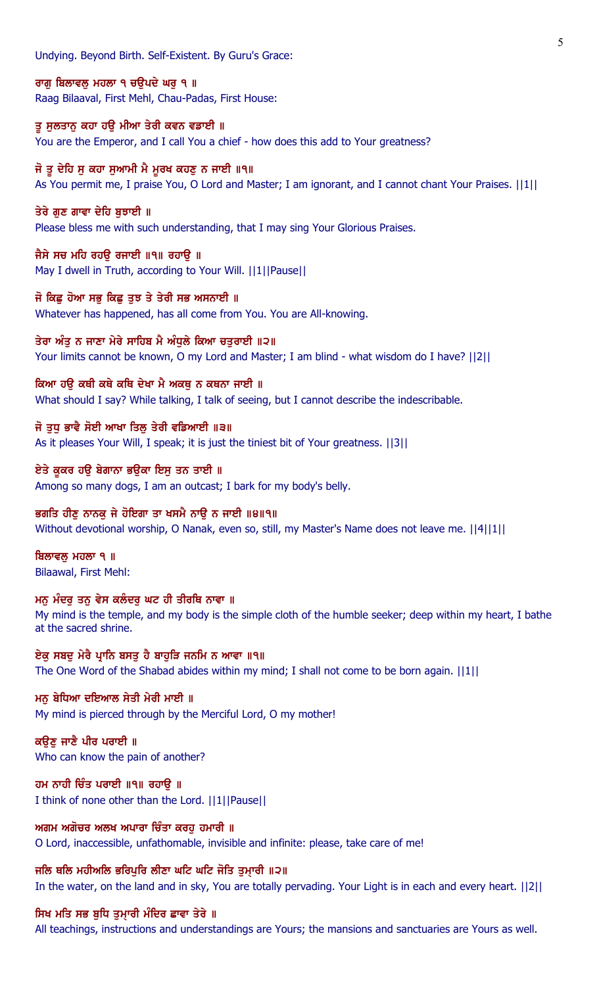Undying. Beyond Birth. Self-Existent. By Guru's Grace:

ਰਾਗੂ ਬਿਲਾਵਲੂ ਮਹਲਾ ੧ ਚਉਪਦੇ ਘਰੂ ੧ ॥ Raag Bilaaval, First Mehl, Chau-Padas, First House:

ਤੂ ਸੁਲਤਾਨੂ ਕਹਾ ਹਉ ਮੀਆ ਤੇਰੀ ਕਵਨ ਵਡਾਈ ॥ You are the Emperor, and I call You a chief - how does this add to Your greatness?

# ਜੋ ਤੂ ਦੇਹਿ ਸੂ ਕਹਾ ਸੁਆਮੀ ਮੈ ਮੂਰਖ ਕਹਣੂ ਨ ਜਾਈ ॥੧॥

As You permit me, I praise You, O Lord and Master; I am ignorant, and I cannot chant Your Praises. ||1||

# ਤੇਰੇ ਗੁਣ ਗਾਵਾ ਦੇਹਿ ਬੁਝਾਈ ॥

Please bless me with such understanding, that I may sing Your Glorious Praises.

# ਜੈਸੇ ਸਚ ਮਹਿ ਰਹਉ ਰਜਾਈ ॥੧॥ ਰਹਾਉ ॥

May I dwell in Truth, according to Your Will. ||1||Pause||

# ਜੋ ਕਿਛੂ ਹੋਆ ਸਭੂ ਕਿਛੂ ਤੁਝ ਤੇ ਤੇਰੀ ਸਭ ਅਸਨਾਈ ॥

Whatever has happened, has all come from You. You are All-knowing.

### ਤੇਰਾ ਅੰਤੂ ਨ ਜਾਣਾ ਮੇਰੇ ਸਾਹਿਬ ਮੈ ਅੰਧੂਲੇ ਕਿਆ ਚਤੁਰਾਈ ॥੨॥

Your limits cannot be known, O my Lord and Master; I am blind - what wisdom do I have? ||2||

## ਕਿਆ ਹੳ ਕਥੀ ਕਥੇ ਕਥਿ ਦੇਖਾ ਮੈ ਅਕਥ ਨ ਕਥਨਾ ਜਾਈ ॥

What should I say? While talking, I talk of seeing, but I cannot describe the indescribable.

# ਜੋ ਤਧ ਭਾਵੈ ਸੋਈ ਆਖਾ ਤਿਲ ਤੇਰੀ ਵਡਿਆਈ ॥੩॥

As it pleases Your Will, I speak; it is just the tiniest bit of Your greatness. ||3||

# ਏਤੇ ਕੁਕਰ ਹਉ ਬੇਗਾਨਾ ਭਉਕਾ ਇਸੁ ਤਨ ਤਾਈ ॥

Among so many dogs, I am an outcast; I bark for my body's belly.

# ਭਗਤਿ ਹੀਣ ਨਾਨਕ ਜੇ ਹੋਇਗਾ ਤਾ ਖਸਮੈ ਨਾੳ ਨ ਜਾਈ ॥੪॥੧॥

Without devotional worship, O Nanak, even so, still, my Master's Name does not leave me. ||4||1||

ਬਿਲਾਵਲੂ ਮਹਲਾ ੧ ॥ Bilaawal, First Mehl:

**ਮਨੂ ਮੰਦਰੂ ਤਨੂ ਵੇਸ ਕਲੰਦਰੂ ਘਟ ਹੀ ਤੀਰਥਿ ਨਾਵਾ** ॥ My mind is the temple, and my body is the simple cloth of the humble seeker; deep within my heart, I bathe at the sacred shrine.

ਏਕੁ ਸਬਦੁ ਮੇਰੈ ਪ੍ਰਾਨਿ ਬਸਤੁ ਹੈ ਬਾਹੁੜਿ ਜਨਮਿ ਨ ਆਵਾ ॥੧॥ The One Word of the Shabad abides within my mind; I shall not come to be born again. ||1||

# ਮਨੂ ਬੇਧਿਆ ਦਇਆਲ ਸੇਤੀ ਮੇਰੀ ਮਾਈ ॥

My mind is pierced through by the Merciful Lord, O my mother!

# ਕਉਣੂ ਜਾਣੈ ਪੀਰ ਪਰਾਈ ॥ Who can know the pain of another?

ਹਮ ਨਾਹੀ ਚਿੰਤ ਪਰਾਈ ॥੧॥ ਰਹਾਉ ॥ I think of none other than the Lord. ||1||Pause||

## ਅਗਮ ਅਗੋਚਰ ਅਲਖ ਅਪਾਰਾ ਚਿੰਤਾ ਕਰਹੁ ਹਮਾਰੀ ॥

O Lord, inaccessible, unfathomable, invisible and infinite: please, take care of me!

## ਜਲਿ ਥਲਿ ਮਹੀਅਲਿ ਭਰਿਪਰਿ ਲੀਣਾ ਘਟਿ ਘਟਿ ਜੋਤਿ ਤਮਾਰੀ ॥੨॥

In the water, on the land and in sky, You are totally pervading. Your Light is in each and every heart. ||2||

# ਸਿਖ ਮਤਿ ਸਭ ਬੁਧਿ ਤੁਮਾਰੀ ਮੰਦਿਰ ਛਾਵਾ ਤੇਰੇ ॥

All teachings, instructions and understandings are Yours; the mansions and sanctuaries are Yours as well.